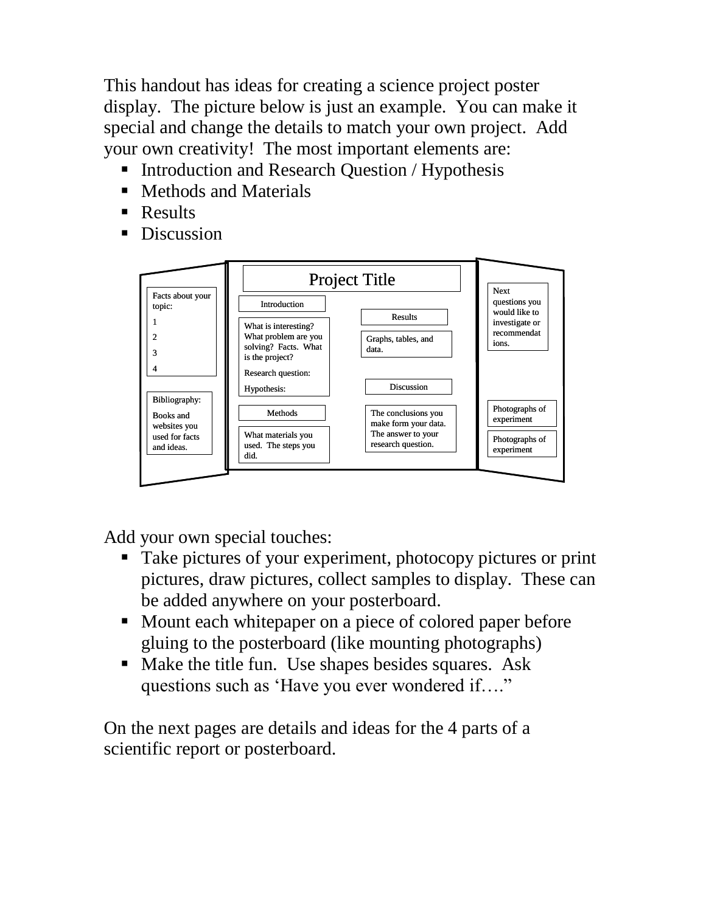This handout has ideas for creating a science project poster display. The picture below is just an example. You can make it special and change the details to match your own project. Add your own creativity! The most important elements are:

- Introduction and Research Question / Hypothesis
- Methods and Materials
- Results
- Discussion



Add your own special touches:

- Take pictures of your experiment, photocopy pictures or print pictures, draw pictures, collect samples to display. These can be added anywhere on your posterboard.
- Mount each whitepaper on a piece of colored paper before gluing to the posterboard (like mounting photographs)
- Make the title fun. Use shapes besides squares. Ask questions such as 'Have you ever wondered if…."

On the next pages are details and ideas for the 4 parts of a scientific report or posterboard.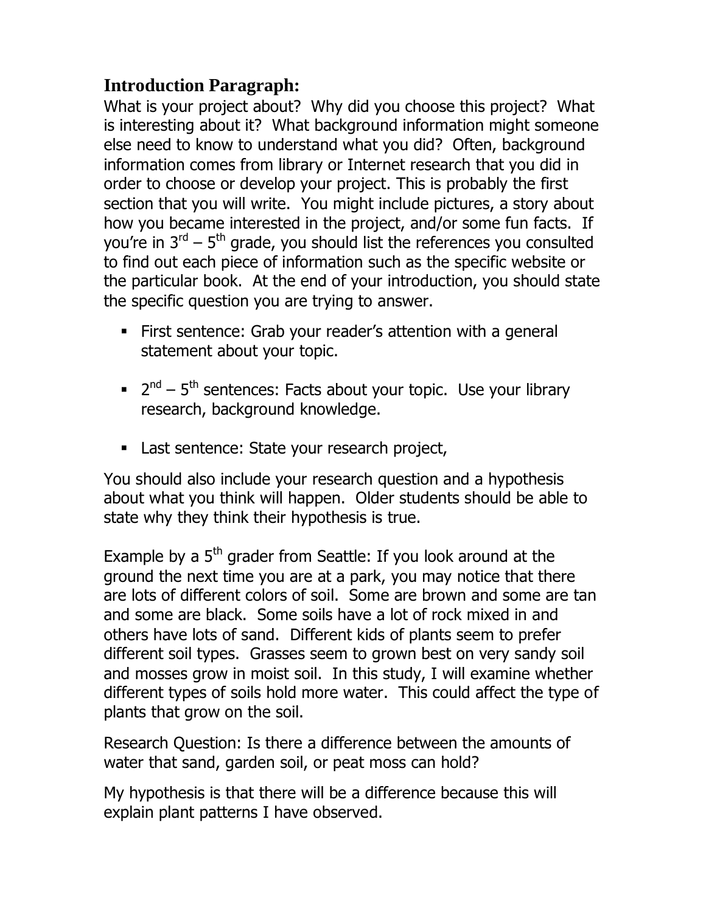# **Introduction Paragraph:**

What is your project about? Why did you choose this project? What is interesting about it? What background information might someone else need to know to understand what you did? Often, background information comes from library or Internet research that you did in order to choose or develop your project. This is probably the first section that you will write. You might include pictures, a story about how you became interested in the project, and/or some fun facts. If you're in  $3^{\text{rd}}$  –  $5^{\text{th}}$  grade, you should list the references you consulted to find out each piece of information such as the specific website or the particular book. At the end of your introduction, you should state the specific question you are trying to answer.

- First sentence: Grab your reader's attention with a general statement about your topic.
- $2<sup>nd</sup> 5<sup>th</sup>$  sentences: Facts about your topic. Use your library research, background knowledge.
- **Last sentence: State your research project,**

You should also include your research question and a hypothesis about what you think will happen. Older students should be able to state why they think their hypothesis is true.

Example by a  $5<sup>th</sup>$  grader from Seattle: If you look around at the ground the next time you are at a park, you may notice that there are lots of different colors of soil. Some are brown and some are tan and some are black. Some soils have a lot of rock mixed in and others have lots of sand. Different kids of plants seem to prefer different soil types. Grasses seem to grown best on very sandy soil and mosses grow in moist soil. In this study, I will examine whether different types of soils hold more water. This could affect the type of plants that grow on the soil.

Research Question: Is there a difference between the amounts of water that sand, garden soil, or peat moss can hold?

My hypothesis is that there will be a difference because this will explain plant patterns I have observed.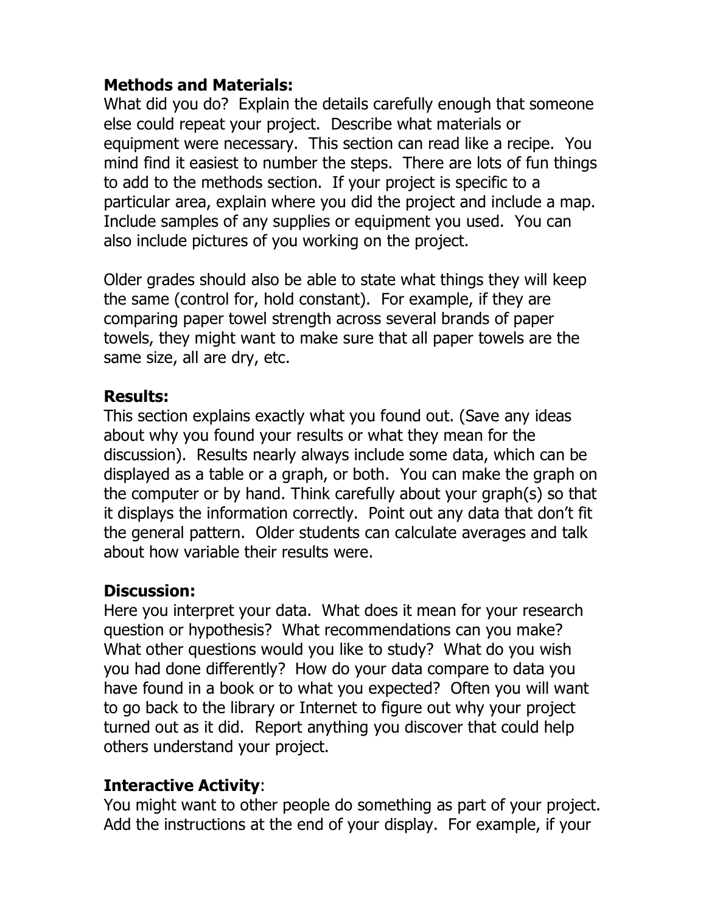# **Methods and Materials:**

What did you do? Explain the details carefully enough that someone else could repeat your project. Describe what materials or equipment were necessary. This section can read like a recipe. You mind find it easiest to number the steps. There are lots of fun things to add to the methods section. If your project is specific to a particular area, explain where you did the project and include a map. Include samples of any supplies or equipment you used. You can also include pictures of you working on the project.

Older grades should also be able to state what things they will keep the same (control for, hold constant). For example, if they are comparing paper towel strength across several brands of paper towels, they might want to make sure that all paper towels are the same size, all are dry, etc.

#### **Results:**

This section explains exactly what you found out. (Save any ideas about why you found your results or what they mean for the discussion). Results nearly always include some data, which can be displayed as a table or a graph, or both. You can make the graph on the computer or by hand. Think carefully about your graph(s) so that it displays the information correctly. Point out any data that don't fit the general pattern. Older students can calculate averages and talk about how variable their results were.

## **Discussion:**

Here you interpret your data. What does it mean for your research question or hypothesis? What recommendations can you make? What other questions would you like to study? What do you wish you had done differently? How do your data compare to data you have found in a book or to what you expected? Often you will want to go back to the library or Internet to figure out why your project turned out as it did. Report anything you discover that could help others understand your project.

## **Interactive Activity**:

You might want to other people do something as part of your project. Add the instructions at the end of your display. For example, if your